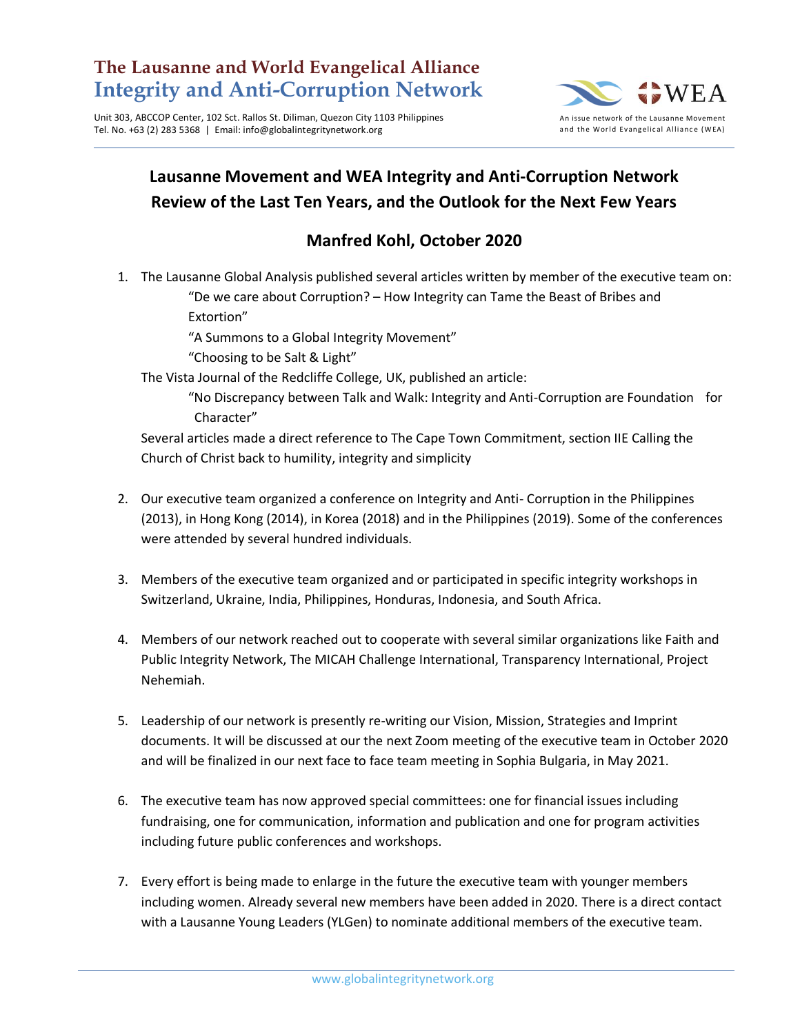## **The Lausanne and World Evangelical Alliance Integrity and Anti-Corruption Network**

Unit 303, ABCCOP Center, 102 Sct. Rallos St. Diliman, Quezon City 1103 Philippines Tel. No. +63 (2) 283 5368 | Email: info@globalintegritynetwork.org



## **Lausanne Movement and WEA Integrity and Anti-Corruption Network Review of the Last Ten Years, and the Outlook for the Next Few Years**

## **Manfred Kohl, October 2020**

1. The Lausanne Global Analysis published several articles written by member of the executive team on: "De we care about Corruption? – How Integrity can Tame the Beast of Bribes and

Extortion"

"A Summons to a Global Integrity Movement"

"Choosing to be Salt & Light"

The Vista Journal of the Redcliffe College, UK, published an article:

"No Discrepancy between Talk and Walk: Integrity and Anti-Corruption are Foundation for Character"

Several articles made a direct reference to The Cape Town Commitment, section IIE Calling the Church of Christ back to humility, integrity and simplicity

- 2. Our executive team organized a conference on Integrity and Anti- Corruption in the Philippines (2013), in Hong Kong (2014), in Korea (2018) and in the Philippines (2019). Some of the conferences were attended by several hundred individuals.
- 3. Members of the executive team organized and or participated in specific integrity workshops in Switzerland, Ukraine, India, Philippines, Honduras, Indonesia, and South Africa.
- 4. Members of our network reached out to cooperate with several similar organizations like Faith and Public Integrity Network, The MICAH Challenge International, Transparency International, Project Nehemiah.
- 5. Leadership of our network is presently re-writing our Vision, Mission, Strategies and Imprint documents. It will be discussed at our the next Zoom meeting of the executive team in October 2020 and will be finalized in our next face to face team meeting in Sophia Bulgaria, in May 2021.
- 6. The executive team has now approved special committees: one for financial issues including fundraising, one for communication, information and publication and one for program activities including future public conferences and workshops.
- 7. Every effort is being made to enlarge in the future the executive team with younger members including women. Already several new members have been added in 2020. There is a direct contact with a Lausanne Young Leaders (YLGen) to nominate additional members of the executive team.